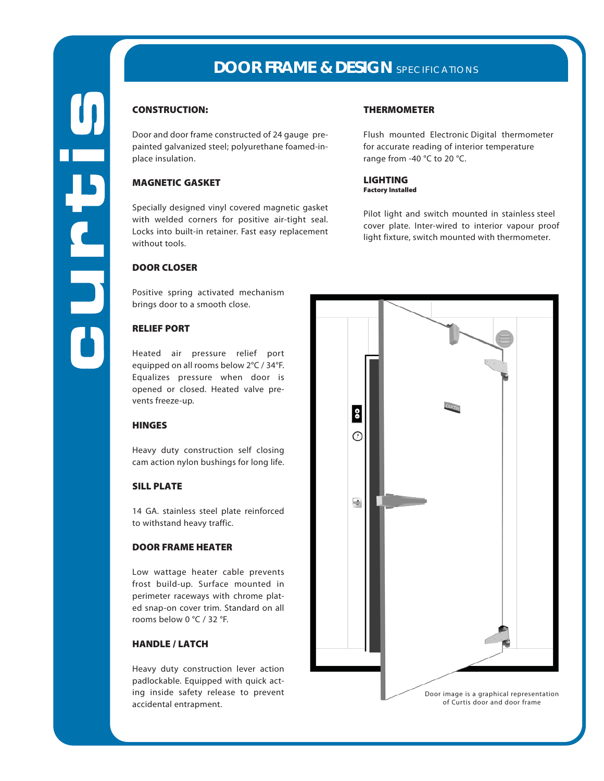# **DOOR FRAME & DESIGN** SPECIFICATIONS

# CONSTRUCTION:

Door and door frame constructed of 24 gauge prepainted galvanized steel; polyurethane foamed-inplace insulation.

## MAGNETIC GASKET

Specially designed vinyl covered magnetic gasket with welded corners for positive air-tight seal. Locks into built-in retainer. Fast easy replacement without tools.

## DOOR CLOSER

Positive spring activated mechanism brings door to a smooth close.

# RELIEF PORT

Heated air pressure relief port equipped on all rooms below 2°C / 34°F. Equalizes pressure when door is opened or closed. Heated valve prevents freeze-up.

#### **HINGES**

Heavy duty construction self closing cam action nylon bushings for long life.

#### SILL PLATE

14 GA. stainless steel plate reinforced to withstand heavy traffic.

# DOOR FRAME HEATER

Low wattage heater cable prevents frost build-up. Surface mounted in perimeter raceways with chrome plated snap-on cover trim. Standard on all rooms below 0 °C / 32 °F.

## HANDLE / LATCH

Heavy duty construction lever action padlockable. Equipped with quick acting inside safety release to prevent accidental entrapment.

### THERMOMETER

Flush mounted Electronic Digital thermometer for accurate reading of interior temperature range from -40 °C to 20 °C.

LIGHTING Factory Installed

Pilot light and switch mounted in stainless steel cover plate. Inter-wired to interior vapour proof light fixture, switch mounted with thermometer.

> Door image is a graphical representation of Curtis door and door frame